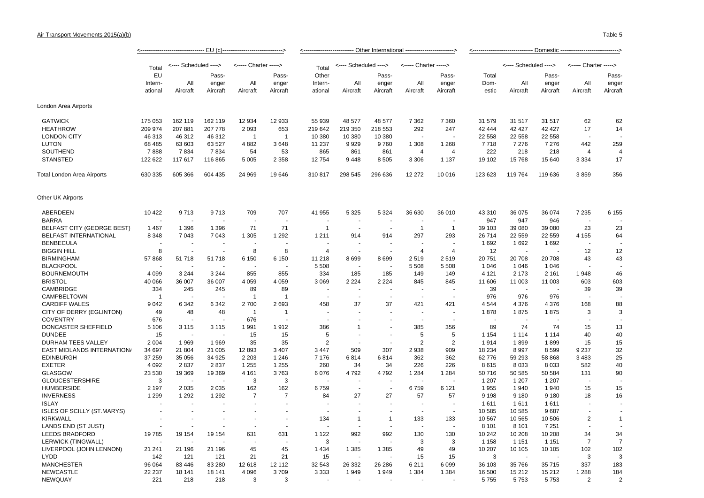## Air Transport Movements 2015(a)(b)

|                                   | · EU (c)-                |                       |                   |                          |                          | ------------ Other International | Domestic --------------------------- |                      |                       |                   |               |                       |                   |                          |                      |
|-----------------------------------|--------------------------|-----------------------|-------------------|--------------------------|--------------------------|----------------------------------|--------------------------------------|----------------------|-----------------------|-------------------|---------------|-----------------------|-------------------|--------------------------|----------------------|
|                                   | Total                    | <---- Scheduled ----> |                   | <----- Charter ----->    |                          | Total                            | <---- Scheduled ---->                |                      | <----- Charter -----> |                   |               | <---- Scheduled ----> |                   | <----- Charter           | $---&$               |
|                                   | EU<br>Intern-<br>ational |                       | Pass-             |                          | Pass-                    | Other                            |                                      | Pass-                |                       | Pass-             | Total         |                       | Pass-             |                          | Pass-                |
|                                   |                          | All<br>Aircraft       | enger<br>Aircraft | All<br>Aircraft          | enger<br>Aircraft        | Intern-<br>ational               | All<br>Aircraft                      | enger<br>Aircraft    | All<br>Aircraft       | enger<br>Aircraft | Dom-<br>estic | All<br>Aircraft       | enger<br>Aircraft | All<br>Aircraft          | enger<br>Aircraft    |
| London Area Airports              |                          |                       |                   |                          |                          |                                  |                                      |                      |                       |                   |               |                       |                   |                          |                      |
| <b>GATWICK</b>                    | 175 053                  | 162 119               | 162 119           | 12 934                   | 12 933                   | 55 939                           | 48 577                               | 48 577               | 7 3 6 2               | 7 3 6 0           | 31 579        | 31 517                | 31 517            | 62                       | 62                   |
| <b>HEATHROW</b>                   | 209 974                  | 207 881               | 207 778           | 2093                     | 653                      | 219 642                          | 219 350                              | 218 553              | 292                   | 247               | 42 444        | 42 4 27               | 42 4 27           | 17                       | 14                   |
| <b>LONDON CITY</b>                | 46 313                   | 46 312                | 46 312            | $\mathbf{1}$             | $\mathbf{1}$             | 10 380                           | 10 380                               | 10 380               |                       |                   | 22 558        | 22 558                | 22 558            |                          |                      |
| <b>LUTON</b>                      | 68 4 85                  | 63 603                | 63 527            | 4882                     | 3648                     | 11 237                           | 9929                                 | 9760                 | 1 3 0 8               | 1 2 6 8           | 7718          | 7 2 7 6               | 7 2 7 6           | 442                      | 259                  |
| SOUTHEND                          | 7888                     | 7834                  | 7834              | 54                       | 53                       | 865                              | 861                                  | 861                  | $\overline{4}$        | $\overline{4}$    | 222           | 218                   | 218               | $\overline{4}$           | $\overline{4}$       |
| <b>STANSTED</b>                   | 122 622                  | 117 617               | 116 865           | 5 0 0 5                  | 2 3 5 8                  | 12 754                           | 9448                                 | 8505                 | 3 3 0 6               | 1 1 3 7           | 19 102        | 15 768                | 15 640            | 3 3 3 4                  | 17                   |
| Total London Area Airports        | 630 335                  | 605 366               | 604 435           | 24 969                   | 19646                    | 310817                           | 298 545                              | 296 636              | 12 27 2               | 10 016            | 123 623       | 119 764               | 119 636           | 3859                     | 356                  |
| <b>Other UK Airports</b>          |                          |                       |                   |                          |                          |                                  |                                      |                      |                       |                   |               |                       |                   |                          |                      |
| ABERDEEN                          | 10 4 22                  | 9713                  | 9713              | 709                      | 707                      | 41 955                           | 5 3 2 5                              | 5 3 2 4              | 36 630                | 36 010            | 43 310        | 36 075                | 36 074            | 7 2 3 5                  | 6 155                |
| <b>BARRA</b>                      |                          |                       |                   | $\overline{\phantom{a}}$ | $\overline{a}$           |                                  |                                      |                      |                       |                   | 947           | 947                   | 946               | $\overline{a}$           |                      |
| <b>BELFAST CITY (GEORGE BEST)</b> | 1 4 6 7                  | 1 3 9 6               | 1 3 9 6           | 71                       | 71                       | $\mathbf{1}$                     |                                      |                      | $\overline{1}$        | $\mathbf{1}$      | 39 103        | 39 080                | 39 080            | 23                       | 23                   |
| <b>BELFAST INTERNATIONAL</b>      | 8 3 4 8                  | 7 0 4 3               | 7 0 4 3           | 1 3 0 5                  | 1 2 9 2                  | 1 2 1 1                          | 914                                  | 914                  | 297                   | 293               | 26 714        | 22 559                | 22 559            | 4 1 5 5                  | 64                   |
| <b>BENBECULA</b>                  |                          |                       |                   |                          |                          |                                  |                                      |                      |                       |                   | 1692          | 1692                  | 1692              | ä,                       |                      |
| <b>BIGGIN HILL</b>                | 8                        |                       | $\sim$            | 8                        | 8                        | 4                                |                                      | $\ddot{\phantom{1}}$ | $\overline{4}$        | $\overline{4}$    | 12            |                       |                   | 12                       | 12                   |
| <b>BIRMINGHAM</b>                 | 57 868                   | 51718                 | 51 718            | 6 1 5 0                  | 6 1 5 0                  | 11 218                           | 8699                                 | 8699                 | 2519                  | 2519              | 20751         | 20 708                | 20708             | 43                       | 43                   |
| <b>BLACKPOOL</b>                  |                          |                       |                   |                          |                          | 5 5 0 8                          |                                      |                      | 5 5 0 8               | 5 5 0 8           | 1 0 4 6       | 1 0 4 6               | 1 0 4 6           | ÷,                       |                      |
| <b>BOURNEMOUTH</b>                | 4 0 9 9                  | 3 2 4 4               | 3 2 4 4           | 855                      | 855                      | 334                              | 185                                  | 185                  | 149                   | 149               | 4 1 2 1       | 2 1 7 3               | 2 1 6 1           | 1948                     | 46                   |
| <b>BRISTOL</b>                    | 40 066                   | 36 007                | 36 007            | 4 0 5 9                  | 4 0 5 9                  | 3 0 6 9                          | 2 2 2 4                              | 2 2 2 4              | 845                   | 845               | 11 606        | 11 003                | 11 003            | 603                      | 603                  |
| <b>CAMBRIDGE</b>                  | 334                      | 245                   | 245               | 89                       | 89                       |                                  |                                      |                      |                       |                   | 39            | ÷,                    | ÷,                | 39                       | 39                   |
| CAMPBELTOWN                       | -1                       |                       |                   | $\mathbf{1}$             | $\overline{1}$           |                                  |                                      |                      |                       |                   | 976           | 976                   | 976               |                          |                      |
| <b>CARDIFF WALES</b>              | 9 0 4 2                  | 6 3 4 2               | 6 3 4 2           | 2700                     | 2693                     | 458                              | 37                                   | 37                   | 421                   | 421               | 4544          | 4 3 7 6               | 4 3 7 6           | 168                      | 88                   |
| CITY OF DERRY (EGLINTON)          | 49                       | 48                    | 48                | $\mathbf{1}$             | $\mathbf 1$              |                                  |                                      |                      |                       |                   | 1878          | 1875                  | 1875              | 3                        | 3                    |
| <b>COVENTRY</b>                   | 676                      |                       |                   | 676                      |                          |                                  |                                      |                      |                       |                   | J.            | J.                    |                   |                          |                      |
| DONCASTER SHEFFIELD               | 5 1 0 6                  | 3 1 1 5               | 3 1 1 5           | 1991                     | 1912                     | 386                              | $\mathbf 1$                          |                      | 385                   | 356               | 89            | 74                    | 74                | 15                       | 13                   |
| <b>DUNDEE</b>                     | 15                       |                       |                   | 15                       | 15                       | 5                                |                                      | $\ddot{\phantom{1}}$ | 5                     | 5                 | 1 1 5 4       | 1 1 1 4               | 1 1 1 4           | 40                       | 40                   |
| <b>DURHAM TEES VALLEY</b>         | 2 0 0 4                  | 1969                  | 1969              | 35                       | 35                       | $\overline{2}$                   |                                      |                      | $\overline{2}$        | $\overline{2}$    | 1914          | 1899                  | 1899              | 15                       | 15                   |
| EAST MIDLANDS INTERNATION/        | 34 697                   | 21 804                | 21 005            | 12893                    | 3 4 0 7                  | 3 4 4 7                          | 509                                  | 307                  | 2938                  | 909               | 18 2 34       | 8997                  | 8599              | 9 2 3 7                  | 32                   |
| <b>EDINBURGH</b>                  | 37 259                   | 35 056                | 34 925            | 2 2 0 3                  | 1 2 4 6                  | 7 1 7 6                          | 6814                                 | 6814                 | 362                   | 362               | 62776         | 59 293                | 58 868            | 3 4 8 3                  | 25                   |
| <b>EXETER</b>                     | 4 0 9 2                  | 2837                  | 2837              | 1 2 5 5                  | 1 2 5 5                  | 260                              | 34                                   | 34                   | 226                   | 226               | 8615          | 8 0 3 3               | 8 0 3 3           | 582                      | 40                   |
| GLASGOW                           | 23 530                   | 19 369                | 19 369            | 4 1 6 1                  | 3763                     | 6076                             | 4792                                 | 4792                 | 1 2 8 4               | 1 2 8 4           | 50716         | 50 585                | 50 584            | 131                      | 90                   |
| <b>GLOUCESTERSHIRE</b>            | 3                        |                       |                   | 3                        | 3                        |                                  |                                      |                      |                       |                   | 1 207         | 1 207                 | 1 207             |                          |                      |
| <b>HUMBERSIDE</b>                 | 2 1 9 7                  | 2 0 3 5               | 2 0 3 5           | 162                      | 162                      | 6759                             | $\blacksquare$                       | $\sim$               | 6759                  | 6 1 2 1           | 1955          | 1940                  | 1940              | 15                       | 15                   |
| <b>INVERNESS</b>                  | 1 2 9 9                  | 1 2 9 2               | 1 2 9 2           | $\overline{7}$           | $\overline{7}$           | 84                               | 27                                   | 27                   | 57                    | 57                | 9 1 9 8       | 9 1 8 0               | 9 1 8 0           | 18                       | 16                   |
| <b>ISLAY</b>                      |                          |                       |                   |                          | $\overline{a}$           |                                  |                                      |                      |                       |                   | 1611          | 1611                  | 1611              | $\overline{a}$           | $\ddot{\phantom{1}}$ |
| <b>ISLES OF SCILLY (ST.MARYS)</b> |                          |                       |                   |                          |                          |                                  |                                      |                      | ä,                    | ÷.                | 10 585        | 10 585                | 9687              | ÷,                       |                      |
| <b>KIRKWALL</b>                   |                          |                       |                   |                          |                          | 134                              | $\mathbf{1}$                         | $\mathbf{1}$         | 133                   | 133               | 10 567        | 10 565                | 10 506            | $\overline{2}$           | $\mathbf{1}$         |
| LANDS END (ST JUST)               |                          |                       |                   |                          | $\overline{\phantom{a}}$ |                                  |                                      |                      |                       |                   | 8 1 0 1       | 8 1 0 1               | 7 2 5 1           | $\overline{\phantom{a}}$ |                      |
| <b>LEEDS BRADFORD</b>             | 19785                    | 19 154                | 19 154            | 631                      | 631                      | 1 1 2 2                          | 992                                  | 992                  | 130                   | 130               | 10 242        | 10 208                | 10 208            | 34                       | 34                   |
| LERWICK (TINGWALL)                |                          |                       |                   |                          |                          | 3                                |                                      |                      | 3                     | 3                 | 1 1 5 8       | 1 1 5 1               | 1 1 5 1           | $\overline{7}$           | $\overline{7}$       |
| LIVERPOOL (JOHN LENNON)           | 21 241                   | 21 196                | 21 196            | 45                       | 45                       | 1 4 3 4                          | 1 3 8 5                              | 1 3 8 5              | 49                    | 49                | 10 207        | 10 105                | 10 10 5           | 102                      | 102                  |
| <b>LYDD</b>                       | 142                      | 121                   | 121               | 21                       | 21                       | 15                               |                                      |                      | 15                    | 15                | 3             |                       |                   | 3                        | 3                    |
| <b>MANCHESTER</b>                 | 96 064                   | 83 446                | 83 280            | 12618                    | 12 112                   | 32 543                           | 26 332                               | 26 28 6              | 6 2 1 1               | 6099              | 36 103        | 35 766                | 35 715            | 337                      | 183                  |
| <b>NEWCASTLE</b>                  | 22 237                   | 18 141                | 18 141            | 4 0 9 6                  | 3709                     | 3 3 3 3                          | 1949                                 | 1949                 | 1 3 8 4               | 1 3 8 4           | 16 500        | 15 212                | 15 21 2           | 1 2 8 8                  | 184                  |
| NEWQUAY                           | 221                      | 218                   | 218               | 3                        | 3                        |                                  |                                      |                      |                       |                   | 5755          | 5753                  | 5753              | 2                        | $\overline{2}$       |
|                                   |                          |                       |                   |                          |                          |                                  |                                      |                      |                       |                   |               |                       |                   |                          |                      |